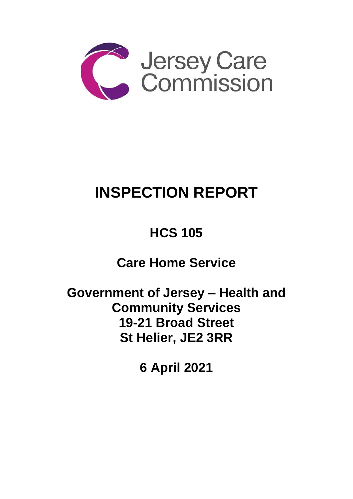

# **INSPECTION REPORT**

## **HCS 105**

**Care Home Service** 

**Government of Jersey – Health and Community Services 19-21 Broad Street St Helier, JE2 3RR** 

**6 April 2021**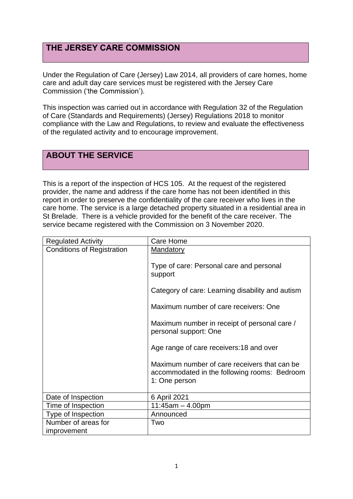## **THE JERSEY CARE COMMISSION**

Under the Regulation of Care (Jersey) Law 2014, all providers of care homes, home care and adult day care services must be registered with the Jersey Care Commission ('the Commission').

This inspection was carried out in accordance with Regulation 32 of the Regulation of Care (Standards and Requirements) (Jersey) Regulations 2018 to monitor compliance with the Law and Regulations, to review and evaluate the effectiveness of the regulated activity and to encourage improvement.

## **ABOUT THE SERVICE**

This is a report of the inspection of HCS 105. At the request of the registered provider, the name and address if the care home has not been identified in this report in order to preserve the confidentiality of the care receiver who lives in the care home. The service is a large detached property situated in a residential area in St Brelade. There is a vehicle provided for the benefit of the care receiver. The service became registered with the Commission on 3 November 2020.

| <b>Regulated Activity</b>         | Care Home                                                                                                     |
|-----------------------------------|---------------------------------------------------------------------------------------------------------------|
| <b>Conditions of Registration</b> | <b>Mandatory</b>                                                                                              |
|                                   | Type of care: Personal care and personal<br>support                                                           |
|                                   | Category of care: Learning disability and autism                                                              |
|                                   | Maximum number of care receivers: One                                                                         |
|                                   | Maximum number in receipt of personal care /<br>personal support: One                                         |
|                                   | Age range of care receivers: 18 and over                                                                      |
|                                   | Maximum number of care receivers that can be<br>accommodated in the following rooms: Bedroom<br>1: One person |
| Date of Inspection                | 6 April 2021                                                                                                  |
| Time of Inspection                | $11:45am - 4.00pm$                                                                                            |
| Type of Inspection                | Announced                                                                                                     |
| Number of areas for               | Two                                                                                                           |
| improvement                       |                                                                                                               |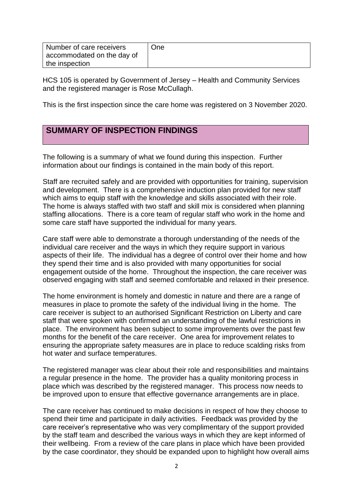| Number of care receivers   | <b>One</b> |
|----------------------------|------------|
| accommodated on the day of |            |
| the inspection             |            |

HCS 105 is operated by Government of Jersey – Health and Community Services and the registered manager is Rose McCullagh.

This is the first inspection since the care home was registered on 3 November 2020.

## **SUMMARY OF INSPECTION FINDINGS**

The following is a summary of what we found during this inspection. Further information about our findings is contained in the main body of this report.

Staff are recruited safely and are provided with opportunities for training, supervision and development. There is a comprehensive induction plan provided for new staff which aims to equip staff with the knowledge and skills associated with their role. The home is always staffed with two staff and skill mix is considered when planning staffing allocations. There is a core team of regular staff who work in the home and some care staff have supported the individual for many years.

Care staff were able to demonstrate a thorough understanding of the needs of the individual care receiver and the ways in which they require support in various aspects of their life. The individual has a degree of control over their home and how they spend their time and is also provided with many opportunities for social engagement outside of the home. Throughout the inspection, the care receiver was observed engaging with staff and seemed comfortable and relaxed in their presence.

The home environment is homely and domestic in nature and there are a range of measures in place to promote the safety of the individual living in the home. The care receiver is subject to an authorised Significant Restriction on Liberty and care staff that were spoken with confirmed an understanding of the lawful restrictions in place. The environment has been subject to some improvements over the past few months for the benefit of the care receiver. One area for improvement relates to ensuring the appropriate safety measures are in place to reduce scalding risks from hot water and surface temperatures.

The registered manager was clear about their role and responsibilities and maintains a regular presence in the home. The provider has a quality monitoring process in place which was described by the registered manager. This process now needs to be improved upon to ensure that effective governance arrangements are in place.

The care receiver has continued to make decisions in respect of how they choose to spend their time and participate in daily activities. Feedback was provided by the care receiver's representative who was very complimentary of the support provided by the staff team and described the various ways in which they are kept informed of their wellbeing. From a review of the care plans in place which have been provided by the case coordinator, they should be expanded upon to highlight how overall aims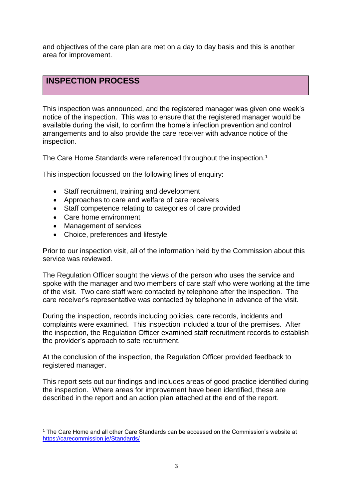and objectives of the care plan are met on a day to day basis and this is another area for improvement.

## **INSPECTION PROCESS**

This inspection was announced, and the registered manager was given one week's notice of the inspection. This was to ensure that the registered manager would be available during the visit, to confirm the home's infection prevention and control arrangements and to also provide the care receiver with advance notice of the inspection.

The Care Home Standards were referenced throughout the inspection.<sup>1</sup>

This inspection focussed on the following lines of enquiry:

- Staff recruitment, training and development
- Approaches to care and welfare of care receivers
- Staff competence relating to categories of care provided
- Care home environment
- Management of services
- Choice, preferences and lifestyle

Prior to our inspection visit, all of the information held by the Commission about this service was reviewed.

The Regulation Officer sought the views of the person who uses the service and spoke with the manager and two members of care staff who were working at the time of the visit. Two care staff were contacted by telephone after the inspection. The care receiver's representative was contacted by telephone in advance of the visit.

During the inspection, records including policies, care records, incidents and complaints were examined. This inspection included a tour of the premises. After the inspection, the Regulation Officer examined staff recruitment records to establish the provider's approach to safe recruitment.

At the conclusion of the inspection, the Regulation Officer provided feedback to registered manager.

This report sets out our findings and includes areas of good practice identified during the inspection. Where areas for improvement have been identified, these are described in the report and an action plan attached at the end of the report.

<sup>1</sup> The Care Home and all other Care Standards can be accessed on the Commission's website at [https://carecommission.je/Standards/](https://carecommission.je/standards/)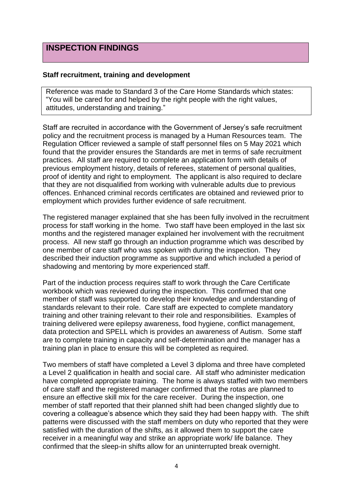### **INSPECTION FINDINGS**

#### **Staff recruitment, training and development**

Reference was made to Standard 3 of the Care Home Standards which states: "You will be cared for and helped by the right people with the right values, attitudes, understanding and training."

Staff are recruited in accordance with the Government of Jersey's safe recruitment policy and the recruitment process is managed by a Human Resources team. The Regulation Officer reviewed a sample of staff personnel files on 5 May 2021 which found that the provider ensures the Standards are met in terms of safe recruitment practices. All staff are required to complete an application form with details of previous employment history, details of referees, statement of personal qualities, proof of identity and right to employment. The applicant is also required to declare that they are not disqualified from working with vulnerable adults due to previous offences. Enhanced criminal records certificates are obtained and reviewed prior to employment which provides further evidence of safe recruitment.

The registered manager explained that she has been fully involved in the recruitment process for staff working in the home. Two staff have been employed in the last six months and the registered manager explained her involvement with the recruitment process. All new staff go through an induction programme which was described by one member of care staff who was spoken with during the inspection. They described their induction programme as supportive and which included a period of shadowing and mentoring by more experienced staff.

Part of the induction process requires staff to work through the Care Certificate workbook which was reviewed during the inspection. This confirmed that one member of staff was supported to develop their knowledge and understanding of standards relevant to their role. Care staff are expected to complete mandatory training and other training relevant to their role and responsibilities. Examples of training delivered were epilepsy awareness, food hygiene, conflict management, data protection and SPELL which is provides an awareness of Autism. Some staff are to complete training in capacity and self-determination and the manager has a training plan in place to ensure this will be completed as required.

Two members of staff have completed a Level 3 diploma and three have completed a Level 2 qualification in health and social care. All staff who administer medication have completed appropriate training. The home is always staffed with two members of care staff and the registered manager confirmed that the rotas are planned to ensure an effective skill mix for the care receiver. During the inspection, one member of staff reported that their planned shift had been changed slightly due to covering a colleague's absence which they said they had been happy with. The shift patterns were discussed with the staff members on duty who reported that they were satisfied with the duration of the shifts, as it allowed them to support the care receiver in a meaningful way and strike an appropriate work/ life balance. They confirmed that the sleep-in shifts allow for an uninterrupted break overnight.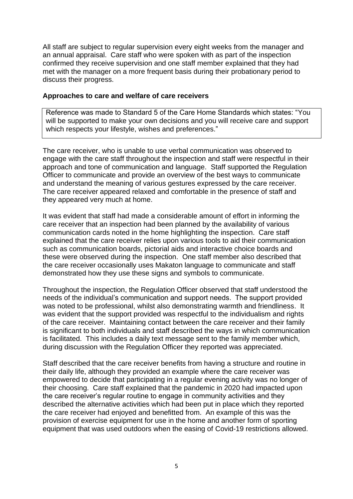All staff are subject to regular supervision every eight weeks from the manager and an annual appraisal. Care staff who were spoken with as part of the inspection confirmed they receive supervision and one staff member explained that they had met with the manager on a more frequent basis during their probationary period to discuss their progress.

#### **Approaches to care and welfare of care receivers**

Reference was made to Standard 5 of the Care Home Standards which states: "You will be supported to make your own decisions and you will receive care and support which respects your lifestyle, wishes and preferences."

The care receiver, who is unable to use verbal communication was observed to engage with the care staff throughout the inspection and staff were respectful in their approach and tone of communication and language. Staff supported the Regulation Officer to communicate and provide an overview of the best ways to communicate and understand the meaning of various gestures expressed by the care receiver. The care receiver appeared relaxed and comfortable in the presence of staff and they appeared very much at home.

It was evident that staff had made a considerable amount of effort in informing the care receiver that an inspection had been planned by the availability of various communication cards noted in the home highlighting the inspection. Care staff explained that the care receiver relies upon various tools to aid their communication such as communication boards, pictorial aids and interactive choice boards and these were observed during the inspection. One staff member also described that the care receiver occasionally uses Makaton language to communicate and staff demonstrated how they use these signs and symbols to communicate.

Throughout the inspection, the Regulation Officer observed that staff understood the needs of the individual's communication and support needs. The support provided was noted to be professional, whilst also demonstrating warmth and friendliness. It was evident that the support provided was respectful to the individualism and rights of the care receiver. Maintaining contact between the care receiver and their family is significant to both individuals and staff described the ways in which communication is facilitated. This includes a daily text message sent to the family member which, during discussion with the Regulation Officer they reported was appreciated.

Staff described that the care receiver benefits from having a structure and routine in their daily life, although they provided an example where the care receiver was empowered to decide that participating in a regular evening activity was no longer of their choosing. Care staff explained that the pandemic in 2020 had impacted upon the care receiver's regular routine to engage in community activities and they described the alternative activities which had been put in place which they reported the care receiver had enjoyed and benefitted from. An example of this was the provision of exercise equipment for use in the home and another form of sporting equipment that was used outdoors when the easing of Covid-19 restrictions allowed.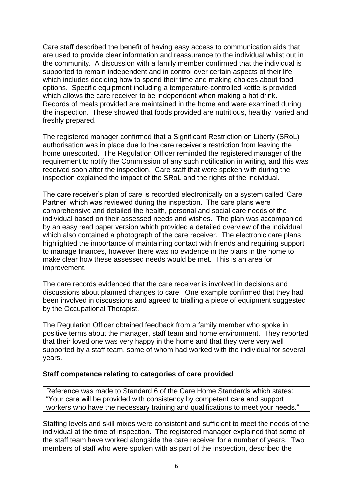Care staff described the benefit of having easy access to communication aids that are used to provide clear information and reassurance to the individual whilst out in the community. A discussion with a family member confirmed that the individual is supported to remain independent and in control over certain aspects of their life which includes deciding how to spend their time and making choices about food options. Specific equipment including a temperature-controlled kettle is provided which allows the care receiver to be independent when making a hot drink. Records of meals provided are maintained in the home and were examined during the inspection. These showed that foods provided are nutritious, healthy, varied and freshly prepared.

The registered manager confirmed that a Significant Restriction on Liberty (SRoL) authorisation was in place due to the care receiver's restriction from leaving the home unescorted. The Regulation Officer reminded the registered manager of the requirement to notify the Commission of any such notification in writing, and this was received soon after the inspection. Care staff that were spoken with during the inspection explained the impact of the SRoL and the rights of the individual.

The care receiver's plan of care is recorded electronically on a system called 'Care Partner' which was reviewed during the inspection. The care plans were comprehensive and detailed the health, personal and social care needs of the individual based on their assessed needs and wishes. The plan was accompanied by an easy read paper version which provided a detailed overview of the individual which also contained a photograph of the care receiver. The electronic care plans highlighted the importance of maintaining contact with friends and requiring support to manage finances, however there was no evidence in the plans in the home to make clear how these assessed needs would be met. This is an area for improvement.

The care records evidenced that the care receiver is involved in decisions and discussions about planned changes to care. One example confirmed that they had been involved in discussions and agreed to trialling a piece of equipment suggested by the Occupational Therapist.

The Regulation Officer obtained feedback from a family member who spoke in positive terms about the manager, staff team and home environment. They reported that their loved one was very happy in the home and that they were very well supported by a staff team, some of whom had worked with the individual for several years.

#### **Staff competence relating to categories of care provided**

Reference was made to Standard 6 of the Care Home Standards which states: "Your care will be provided with consistency by competent care and support workers who have the necessary training and qualifications to meet your needs."

Staffing levels and skill mixes were consistent and sufficient to meet the needs of the individual at the time of inspection. The registered manager explained that some of the staff team have worked alongside the care receiver for a number of years. Two members of staff who were spoken with as part of the inspection, described the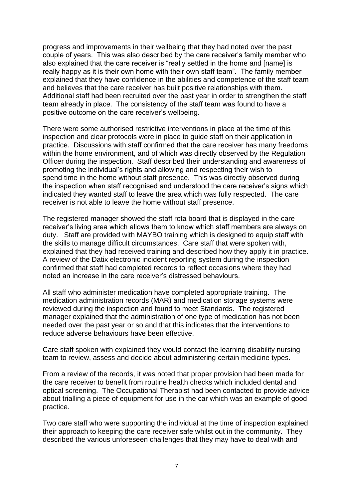progress and improvements in their wellbeing that they had noted over the past couple of years. This was also described by the care receiver's family member who also explained that the care receiver is "really settled in the home and [name] is really happy as it is their own home with their own staff team". The family member explained that they have confidence in the abilities and competence of the staff team and believes that the care receiver has built positive relationships with them. Additional staff had been recruited over the past year in order to strengthen the staff team already in place. The consistency of the staff team was found to have a positive outcome on the care receiver's wellbeing.

There were some authorised restrictive interventions in place at the time of this inspection and clear protocols were in place to guide staff on their application in practice. Discussions with staff confirmed that the care receiver has many freedoms within the home environment, and of which was directly observed by the Regulation Officer during the inspection. Staff described their understanding and awareness of promoting the individual's rights and allowing and respecting their wish to spend time in the home without staff presence. This was directly observed during the inspection when staff recognised and understood the care receiver's signs which indicated they wanted staff to leave the area which was fully respected. The care receiver is not able to leave the home without staff presence.

The registered manager showed the staff rota board that is displayed in the care receiver's living area which allows them to know which staff members are always on duty. Staff are provided with MAYBO training which is designed to equip staff with the skills to manage difficult circumstances. Care staff that were spoken with, explained that they had received training and described how they apply it in practice. A review of the Datix electronic incident reporting system during the inspection confirmed that staff had completed records to reflect occasions where they had noted an increase in the care receiver's distressed behaviours.

All staff who administer medication have completed appropriate training. The medication administration records (MAR) and medication storage systems were reviewed during the inspection and found to meet Standards. The registered manager explained that the administration of one type of medication has not been needed over the past year or so and that this indicates that the interventions to reduce adverse behaviours have been effective.

Care staff spoken with explained they would contact the learning disability nursing team to review, assess and decide about administering certain medicine types.

From a review of the records, it was noted that proper provision had been made for the care receiver to benefit from routine health checks which included dental and optical screening. The Occupational Therapist had been contacted to provide advice about trialling a piece of equipment for use in the car which was an example of good practice.

Two care staff who were supporting the individual at the time of inspection explained their approach to keeping the care receiver safe whilst out in the community. They described the various unforeseen challenges that they may have to deal with and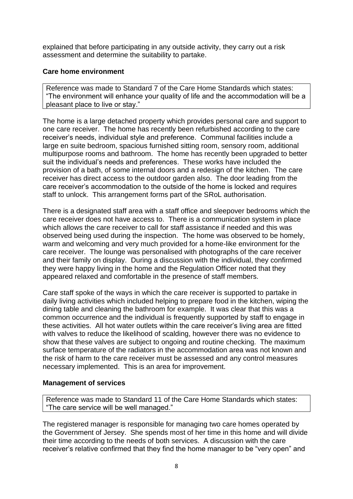explained that before participating in any outside activity, they carry out a risk assessment and determine the suitability to partake.

#### **Care home environment**

Reference was made to Standard 7 of the Care Home Standards which states: "The environment will enhance your quality of life and the accommodation will be a pleasant place to live or stay."

The home is a large detached property which provides personal care and support to one care receiver. The home has recently been refurbished according to the care receiver's needs, individual style and preference. Communal facilities include a large en suite bedroom, spacious furnished sitting room, sensory room, additional multipurpose rooms and bathroom. The home has recently been upgraded to better suit the individual's needs and preferences. These works have included the provision of a bath, of some internal doors and a redesign of the kitchen. The care receiver has direct access to the outdoor garden also. The door leading from the care receiver's accommodation to the outside of the home is locked and requires staff to unlock. This arrangement forms part of the SRoL authorisation.

There is a designated staff area with a staff office and sleepover bedrooms which the care receiver does not have access to. There is a communication system in place which allows the care receiver to call for staff assistance if needed and this was observed being used during the inspection. The home was observed to be homely, warm and welcoming and very much provided for a home-like environment for the care receiver. The lounge was personalised with photographs of the care receiver and their family on display. During a discussion with the individual, they confirmed they were happy living in the home and the Regulation Officer noted that they appeared relaxed and comfortable in the presence of staff members.

Care staff spoke of the ways in which the care receiver is supported to partake in daily living activities which included helping to prepare food in the kitchen, wiping the dining table and cleaning the bathroom for example. It was clear that this was a common occurrence and the individual is frequently supported by staff to engage in these activities. All hot water outlets within the care receiver's living area are fitted with valves to reduce the likelihood of scalding, however there was no evidence to show that these valves are subject to ongoing and routine checking. The maximum surface temperature of the radiators in the accommodation area was not known and the risk of harm to the care receiver must be assessed and any control measures necessary implemented. This is an area for improvement.

#### **Management of services**

Reference was made to Standard 11 of the Care Home Standards which states: "The care service will be well managed."

The registered manager is responsible for managing two care homes operated by the Government of Jersey. She spends most of her time in this home and will divide their time according to the needs of both services. A discussion with the care receiver's relative confirmed that they find the home manager to be "very open" and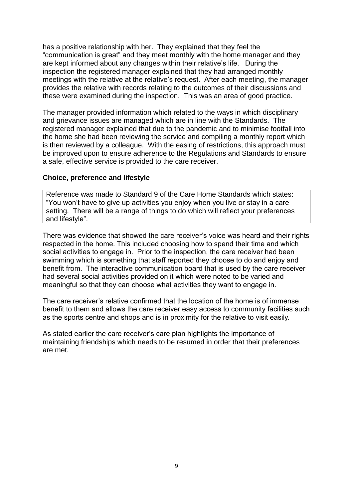has a positive relationship with her. They explained that they feel the "communication is great" and they meet monthly with the home manager and they are kept informed about any changes within their relative's life. During the inspection the registered manager explained that they had arranged monthly meetings with the relative at the relative's request. After each meeting, the manager provides the relative with records relating to the outcomes of their discussions and these were examined during the inspection. This was an area of good practice.

The manager provided information which related to the ways in which disciplinary and grievance issues are managed which are in line with the Standards. The registered manager explained that due to the pandemic and to minimise footfall into the home she had been reviewing the service and compiling a monthly report which is then reviewed by a colleague. With the easing of restrictions, this approach must be improved upon to ensure adherence to the Regulations and Standards to ensure a safe, effective service is provided to the care receiver.

#### **Choice, preference and lifestyle**

Reference was made to Standard 9 of the Care Home Standards which states: "You won't have to give up activities you enjoy when you live or stay in a care setting. There will be a range of things to do which will reflect your preferences and lifestyle".

There was evidence that showed the care receiver's voice was heard and their rights respected in the home. This included choosing how to spend their time and which social activities to engage in. Prior to the inspection, the care receiver had been swimming which is something that staff reported they choose to do and enjoy and benefit from. The interactive communication board that is used by the care receiver had several social activities provided on it which were noted to be varied and meaningful so that they can choose what activities they want to engage in.

The care receiver's relative confirmed that the location of the home is of immense benefit to them and allows the care receiver easy access to community facilities such as the sports centre and shops and is in proximity for the relative to visit easily.

As stated earlier the care receiver's care plan highlights the importance of maintaining friendships which needs to be resumed in order that their preferences are met.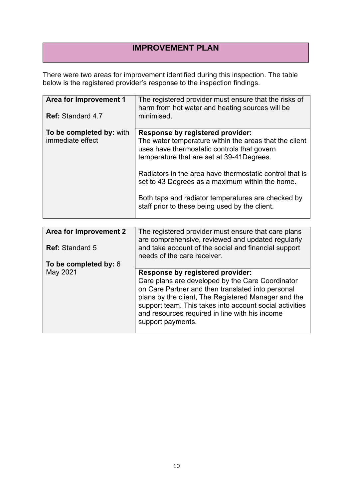## **IMPROVEMENT PLAN**

There were two areas for improvement identified during this inspection. The table below is the registered provider's response to the inspection findings.

| Area for Improvement 1<br><b>Ref: Standard 4.7</b> | The registered provider must ensure that the risks of<br>harm from hot water and heating sources will be<br>minimised.                                                                                                                                                                                                                                                                                        |
|----------------------------------------------------|---------------------------------------------------------------------------------------------------------------------------------------------------------------------------------------------------------------------------------------------------------------------------------------------------------------------------------------------------------------------------------------------------------------|
| To be completed by: with<br>immediate effect       | Response by registered provider:<br>The water temperature within the areas that the client<br>uses have thermostatic controls that govern<br>temperature that are set at 39-41 Degrees.<br>Radiators in the area have thermostatic control that is<br>set to 43 Degrees as a maximum within the home.<br>Both taps and radiator temperatures are checked by<br>staff prior to these being used by the client. |

| <b>Area for Improvement 2</b> | The registered provider must ensure that care plans<br>are comprehensive, reviewed and updated regularly                                                                                                                                                                                       |
|-------------------------------|------------------------------------------------------------------------------------------------------------------------------------------------------------------------------------------------------------------------------------------------------------------------------------------------|
| <b>Ref: Standard 5</b>        | and take account of the social and financial support<br>needs of the care receiver.                                                                                                                                                                                                            |
| To be completed by: 6         |                                                                                                                                                                                                                                                                                                |
| May 2021                      | <b>Response by registered provider:</b>                                                                                                                                                                                                                                                        |
|                               | Care plans are developed by the Care Coordinator<br>on Care Partner and then translated into personal<br>plans by the client, The Registered Manager and the<br>support team. This takes into account social activities<br>and resources required in line with his income<br>support payments. |